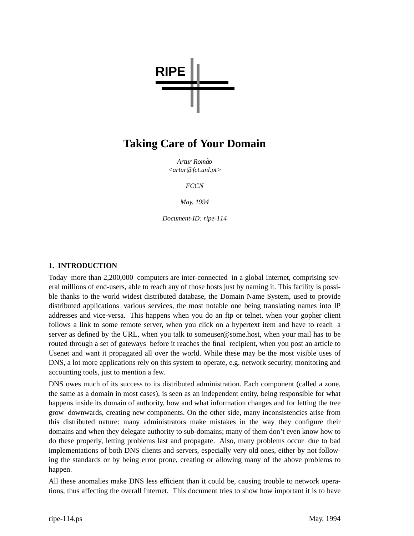

# **Taking Care of Your Domain**

*Artur Roma˜o <artur@fct.unl.pt>*

*FCCN*

*May, 1994*

*Document-ID: ripe-114*

# **1. INTRODUCTION**

Today more than 2,200,000 computers are inter-connected in a global Internet, comprising several millions of end-users, able to reach any of those hosts just by naming it. This facility is possible thanks to the world widest distributed database, the Domain Name System, used to provide distributed applications various services, the most notable one being translating names into IP addresses and vice-versa. This happens when you do an ftp or telnet, when your gopher client follows a link to some remote server, when you click on a hypertext item and have to reach a server as defined by the URL, when you talk to someuser@some.host, when your mail has to be routed through a set of gateways before it reaches the final recipient, when you post an article to Usenet and want it propagated all over the world. While these may be the most visible uses of DNS, a lot more applications rely on this system to operate, e.g. network security, monitoring and accounting tools, just to mention a few.

DNS owes much of its success to its distributed administration. Each component (called a zone, the same as a domain in most cases), is seen as an independent entity, being responsible for what happens inside its domain of authority, how and what information changes and for letting the tree grow downwards, creating new components. On the other side, many inconsistencies arise from this distributed nature: many administrators make mistakes in the way they configure their domains and when they delegate authority to sub-domains; many of them don't even know how to do these properly, letting problems last and propagate. Also, many problems occur due to bad implementations of both DNS clients and servers, especially very old ones, either by not following the standards or by being error prone, creating or allowing many of the above problems to happen.

All these anomalies make DNS less efficient than it could be, causing trouble to network operations, thus affecting the overall Internet. This document tries to show how important it is to have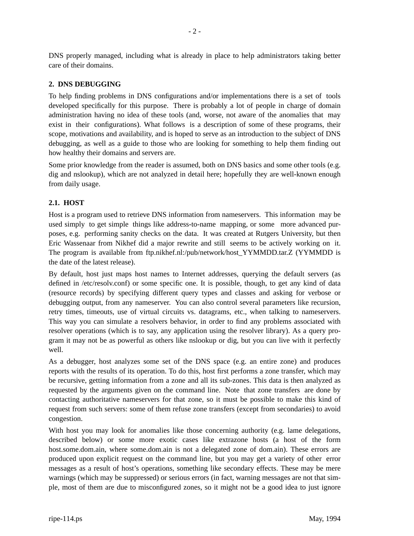DNS properly managed, including what is already in place to help administrators taking better care of their domains.

## **2. DNS DEBUGGING**

To help finding problems in DNS configurations and/or implementations there is a set of tools developed specifically for this purpose. There is probably a lot of people in charge of domain administration having no idea of these tools (and, worse, not aware of the anomalies that may exist in their configurations). What follows is a description of some of these programs, their scope, motivations and availability, and is hoped to serve as an introduction to the subject of DNS debugging, as well as a guide to those who are looking for something to help them finding out how healthy their domains and servers are.

Some prior knowledge from the reader is assumed, both on DNS basics and some other tools (e.g. dig and nslookup), which are not analyzed in detail here; hopefully they are well-known enough from daily usage.

#### **2.1. HOST**

Host is a program used to retrieve DNS information from nameservers. This information may be used simply to get simple things like address-to-name mapping, or some more advanced purposes, e.g. performing sanity checks on the data. It was created at Rutgers University, but then Eric Wassenaar from Nikhef did a major rewrite and still seems to be actively working on it. The program is available from ftp.nikhef.nl:/pub/network/host\_YYMMDD.tar.Z (YYMMDD is the date of the latest release).

By default, host just maps host names to Internet addresses, querying the default servers (as defined in /etc/resolv.conf) or some specific one. It is possible, though, to get any kind of data (resource records) by specifying different query types and classes and asking for verbose or debugging output, from any nameserver. You can also control several parameters like recursion, retry times, timeouts, use of virtual circuits vs. datagrams, etc., when talking to nameservers. This way you can simulate a resolvers behavior, in order to find any problems associated with resolver operations (which is to say, any application using the resolver library). As a query program it may not be as powerful as others like nslookup or dig, but you can live with it perfectly well.

As a debugger, host analyzes some set of the DNS space (e.g. an entire zone) and produces reports with the results of its operation. To do this, host first performs a zone transfer, which may be recursive, getting information from a zone and all its sub-zones. This data is then analyzed as requested by the arguments given on the command line. Note that zone transfers are done by contacting authoritative nameservers for that zone, so it must be possible to make this kind of request from such servers: some of them refuse zone transfers (except from secondaries) to avoid congestion.

With host you may look for anomalies like those concerning authority (e.g. lame delegations, described below) or some more exotic cases like extrazone hosts (a host of the form host.some.dom.ain, where some.dom.ain is not a delegated zone of dom.ain). These errors are produced upon explicit request on the command line, but you may get a variety of other error messages as a result of host's operations, something like secondary effects. These may be mere warnings (which may be suppressed) or serious errors (in fact, warning messages are not that simple, most of them are due to misconfigured zones, so it might not be a good idea to just ignore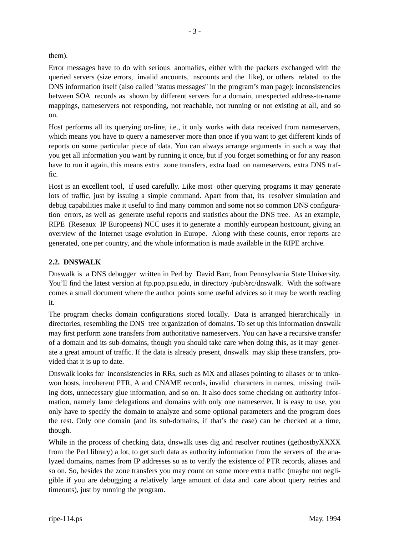them).

Error messages have to do with serious anomalies, either with the packets exchanged with the queried servers (size errors, invalid ancounts, nscounts and the like), or others related to the DNS information itself (also called "status messages" in the program's man page): inconsistencies between SOA records as shown by different servers for a domain, unexpected address-to-name mappings, nameservers not responding, not reachable, not running or not existing at all, and so on.

Host performs all its querying on-line, i.e., it only works with data received from nameservers, which means you have to query a nameserver more than once if you want to get different kinds of reports on some particular piece of data. You can always arrange arguments in such a way that you get all information you want by running it once, but if you forget something or for any reason have to run it again, this means extra zone transfers, extra load on nameservers, extra DNS traffic.

Host is an excellent tool, if used carefully. Like most other querying programs it may generate lots of traffic, just by issuing a simple command. Apart from that, its resolver simulation and debug capabilities make it useful to find many common and some not so common DNS configuration errors, as well as generate useful reports and statistics about the DNS tree. As an example, RIPE (Reseaux IP Europeens) NCC uses it to generate a monthly european hostcount, giving an overview of the Internet usage evolution in Europe. Along with these counts, error reports are generated, one per country, and the whole information is made available in the RIPE archive.

# **2.2. DNSWALK**

Dnswalk is a DNS debugger written in Perl by David Barr, from Pennsylvania State University. You'll find the latest version at ftp.pop.psu.edu, in directory /pub/src/dnswalk. With the software comes a small document where the author points some useful advices so it may be worth reading it.

The program checks domain configurations stored locally. Data is arranged hierarchically in directories, resembling the DNS tree organization of domains. To set up this information dnswalk may first perform zone transfers from authoritative nameservers. You can have a recursive transfer of a domain and its sub-domains, though you should take care when doing this, as it may generate a great amount of traffic. If the data is already present, dnswalk may skip these transfers, provided that it is up to date.

Dnswalk looks for inconsistencies in RRs, such as MX and aliases pointing to aliases or to unknwon hosts, incoherent PTR, A and CNAME records, invalid characters in names, missing trailing dots, unnecessary glue information, and so on. It also does some checking on authority information, namely lame delegations and domains with only one nameserver. It is easy to use, you only have to specify the domain to analyze and some optional parameters and the program does the rest. Only one domain (and its sub-domains, if that's the case) can be checked at a time, though.

While in the process of checking data, dnswalk uses dig and resolver routines (gethostbyXXXX from the Perl library) a lot, to get such data as authority information from the servers of the analyzed domains, names from IP addresses so as to verify the existence of PTR records, aliases and so on. So, besides the zone transfers you may count on some more extra traffic (maybe not negligible if you are debugging a relatively large amount of data and care about query retries and timeouts), just by running the program.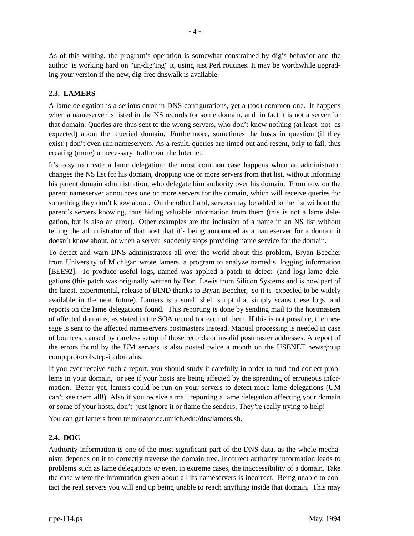As of this writing, the program's operation is somewhat constrained by dig's behavior and the author is working hard on "un-dig'ing" it, using just Perl routines. It may be worthwhile upgrading your version if the new, dig-free dnswalk is available.

## **2.3. LAMERS**

A lame delegation is a serious error in DNS configurations, yet a (too) common one. It happens when a nameserver is listed in the NS records for some domain, and in fact it is not a server for that domain. Queries are thus sent to the wrong servers, who don't know nothing (at least not as expected) about the queried domain. Furthermore, sometimes the hosts in question (if they exist!) don't even run nameservers. As a result, queries are timed out and resent, only to fail, thus creating (more) unnecessary traffic on the Internet.

It's easy to create a lame delegation: the most common case happens when an administrator changes the NS list for his domain, dropping one or more servers from that list, without informing his parent domain administration, who delegate him authority over his domain. From now on the parent nameserver announces one or more servers for the domain, which will receive queries for something they don't know about. On the other hand, servers may be added to the list without the parent's servers knowing, thus hiding valuable information from them (this is not a lame delegation, but is also an error). Other examples are the inclusion of a name in an NS list without telling the administrator of that host that it's being announced as a nameserver for a domain it doesn't know about, or when a server suddenly stops providing name service for the domain.

To detect and warn DNS administrators all over the world about this problem, Bryan Beecher from University of Michigan wrote lamers, a program to analyze named's logging information [BEE92]. To produce useful logs, named was applied a patch to detect (and log) lame delegations (this patch was originally written by Don Lewis from Silicon Systems and is now part of the latest, experimental, release of BIND thanks to Bryan Beecher, so it is expected to be widely available in the near future). Lamers is a small shell script that simply scans these logs and reports on the lame delegations found. This reporting is done by sending mail to the hostmasters of affected domains, as stated in the SOA record for each of them. If this is not possible, the message is sent to the affected nameservers postmasters instead. Manual processing is needed in case of bounces, caused by careless setup of those records or invalid postmaster addresses. A report of the errors found by the UM servers is also posted twice a month on the USENET newsgroup comp.protocols.tcp-ip.domains.

If you ever receive such a report, you should study it carefully in order to find and correct problems in your domain, or see if your hosts are being affected by the spreading of erroneous information. Better yet, lamers could be run on your servers to detect more lame delegations (UM can't see them all!). Also if you receive a mail reporting a lame delegation affecting your domain or some of your hosts, don't just ignore it or flame the senders. They're really trying to help!

You can get lamers from terminator.cc.umich.edu:/dns/lamers.sh.

## **2.4. DOC**

Authority information is one of the most significant part of the DNS data, as the whole mechanism depends on it to correctly traverse the domain tree. Incorrect authority information leads to problems such as lame delegations or even, in extreme cases, the inaccessibility of a domain. Take the case where the information given about all its nameservers is incorrect. Being unable to contact the real servers you will end up being unable to reach anything inside that domain. This may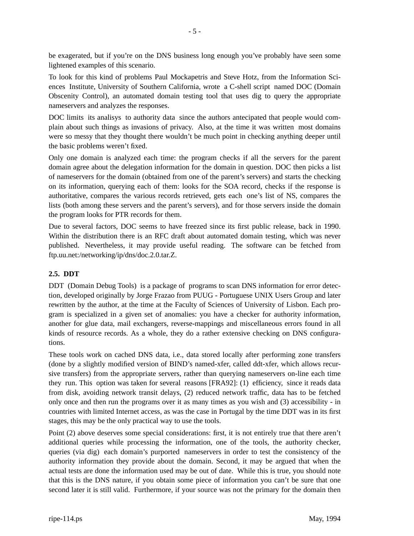be exagerated, but if you're on the DNS business long enough you've probably have seen some lightened examples of this scenario.

To look for this kind of problems Paul Mockapetris and Steve Hotz, from the Information Sciences Institute, University of Southern California, wrote a C-shell script named DOC (Domain Obscenity Control), an automated domain testing tool that uses dig to query the appropriate nameservers and analyzes the responses.

DOC limits its analisys to authority data since the authors antecipated that people would complain about such things as invasions of privacy. Also, at the time it was written most domains were so messy that they thought there wouldn't be much point in checking anything deeper until the basic problems weren't fixed.

Only one domain is analyzed each time: the program checks if all the servers for the parent domain agree about the delegation information for the domain in question. DOC then picks a list of nameservers for the domain (obtained from one of the parent's servers) and starts the checking on its information, querying each of them: looks for the SOA record, checks if the response is authoritative, compares the various records retrieved, gets each one's list of NS, compares the lists (both among these servers and the parent's servers), and for those servers inside the domain the program looks for PTR records for them.

Due to several factors, DOC seems to have freezed since its first public release, back in 1990. Within the distribution there is an RFC draft about automated domain testing, which was never published. Nevertheless, it may provide useful reading. The software can be fetched from ftp.uu.net:/networking/ip/dns/doc.2.0.tar.Z.

# **2.5. DDT**

DDT (Domain Debug Tools) is a package of programs to scan DNS information for error detection, developed originally by Jorge Frazao from PUUG - Portuguese UNIX Users Group and later rewritten by the author, at the time at the Faculty of Sciences of University of Lisbon. Each program is specialized in a given set of anomalies: you have a checker for authority information, another for glue data, mail exchangers, reverse-mappings and miscellaneous errors found in all kinds of resource records. As a whole, they do a rather extensive checking on DNS configurations.

These tools work on cached DNS data, i.e., data stored locally after performing zone transfers (done by a slightly modified version of BIND's named-xfer, called ddt-xfer, which allows recursive transfers) from the appropriate servers, rather than querying nameservers on-line each time they run. This option was taken for several reasons [FRA92]: (1) efficiency, since it reads data from disk, avoiding network transit delays, (2) reduced network traffic, data has to be fetched only once and then run the programs over it as many times as you wish and (3) accessibility - in countries with limited Internet access, as was the case in Portugal by the time DDT was in its first stages, this may be the only practical way to use the tools.

Point (2) above deserves some special considerations: first, it is not entirely true that there aren't additional queries while processing the information, one of the tools, the authority checker, queries (via dig) each domain's purported nameservers in order to test the consistency of the authority information they provide about the domain. Second, it may be argued that when the actual tests are done the information used may be out of date. While this is true, you should note that this is the DNS nature, if you obtain some piece of information you can't be sure that one second later it is still valid. Furthermore, if your source was not the primary for the domain then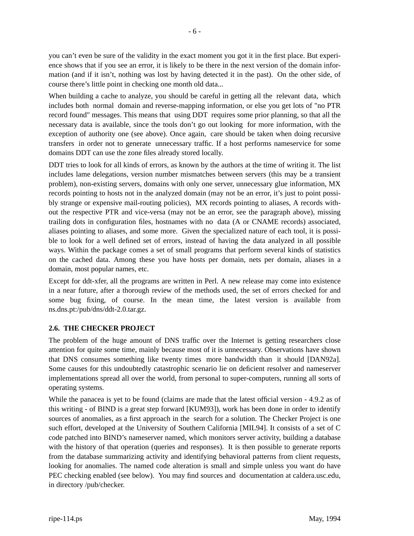you can't even be sure of the validity in the exact moment you got it in the first place. But experience shows that if you see an error, it is likely to be there in the next version of the domain information (and if it isn't, nothing was lost by having detected it in the past). On the other side, of course there's little point in checking one month old data...

When building a cache to analyze, you should be careful in getting all the relevant data, which includes both normal domain and reverse-mapping information, or else you get lots of "no PTR record found" messages. This means that using DDT requires some prior planning, so that all the necessary data is available, since the tools don't go out looking for more information, with the exception of authority one (see above). Once again, care should be taken when doing recursive transfers in order not to generate unnecessary traffic. If a host performs nameservice for some domains DDT can use the zone files already stored locally.

DDT tries to look for all kinds of errors, as known by the authors at the time of writing it. The list includes lame delegations, version number mismatches between servers (this may be a transient problem), non-existing servers, domains with only one server, unnecessary glue information, MX records pointing to hosts not in the analyzed domain (may not be an error, it's just to point possibly strange or expensive mail-routing policies), MX records pointing to aliases, A records without the respective PTR and vice-versa (may not be an error, see the paragraph above), missing trailing dots in configuration files, hostnames with no data (A or CNAME records) associated, aliases pointing to aliases, and some more. Given the specialized nature of each tool, it is possible to look for a well defined set of errors, instead of having the data analyzed in all possible ways. Within the package comes a set of small programs that perform several kinds of statistics on the cached data. Among these you have hosts per domain, nets per domain, aliases in a domain, most popular names, etc.

Except for ddt-xfer, all the programs are written in Perl. A new release may come into existence in a near future, after a thorough review of the methods used, the set of errors checked for and some bug fixing, of course. In the mean time, the latest version is available from ns.dns.pt:/pub/dns/ddt-2.0.tar.gz.

## **2.6. THE CHECKER PROJECT**

The problem of the huge amount of DNS traffic over the Internet is getting researchers close attention for quite some time, mainly because most of it is unnecessary. Observations have shown that DNS consumes something like twenty times more bandwidth than it should [DAN92a]. Some causes for this undoubtedly catastrophic scenario lie on deficient resolver and nameserver implementations spread all over the world, from personal to super-computers, running all sorts of operating systems.

While the panacea is yet to be found (claims are made that the latest official version - 4.9.2 as of this writing - of BIND is a great step forward [KUM93]), work has been done in order to identify sources of anomalies, as a first approach in the search for a solution. The Checker Project is one such effort, developed at the University of Southern California [MIL94]. It consists of a set of C code patched into BIND's nameserver named, which monitors server activity, building a database with the history of that operation (queries and responses). It is then possible to generate reports from the database summarizing activity and identifying behavioral patterns from client requests, looking for anomalies. The named code alteration is small and simple unless you want do have PEC checking enabled (see below). You may find sources and documentation at caldera.usc.edu, in directory /pub/checker.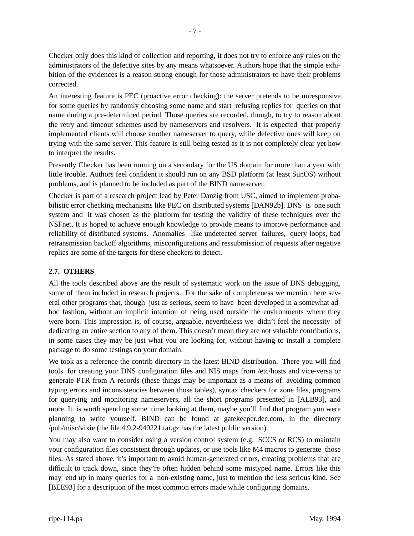Checker only does this kind of collection and reporting, it does not try to enforce any rules on the administrators of the defective sites by any means whatsoever. Authors hope that the simple exhibition of the evidences is a reason strong enough for those administrators to have their problems corrected.

An interesting feature is PEC (proactive error checking): the server pretends to be unresponsive for some queries by randomly choosing some name and start refusing replies for queries on that name during a pre-determined period. Those queries are recorded, though, to try to reason about the retry and timeout schemes used by nameservers and resolvers. It is expected that properly implemented clients will choose another nameserver to query, while defective ones will keep on trying with the same server. This feature is still being tested as it is not completely clear yet how to interpret the results.

Presently Checker has been running on a secondary for the US domain for more than a year with little trouble. Authors feel confident it should run on any BSD platform (at least SunOS) without problems, and is planned to be included as part of the BIND nameserver.

Checker is part of a research project lead by Peter Danzig from USC, aimed to implement probabilistic error checking mechanisms like PEC on distributed systems [DAN92b]. DNS is one such system and it was chosen as the platform for testing the validity of these techniques over the NSFnet. It is hoped to achieve enough knowledge to provide means to improve performance and reliability of distributed systems. Anomalies like undetected server failures, query loops, bad retransmission backoff algorithms, misconfigurations and ressubmission of requests after negative replies are some of the targets for these checkers to detect.

# **2.7. OTHERS**

All the tools described above are the result of systematic work on the issue of DNS debugging, some of them included in research projects. For the sake of completeness we mention here several other programs that, though just as serious, seem to have been developed in a somewhat adhoc fashion, without an implicit intention of being used outside the environments where they were born. This impression is, of course, arguable, nevertheless we didn't feel the necessity of dedicating an entire section to any of them. This doesn't mean they are not valuable contributions, in some cases they may be just what you are looking for, without having to install a complete package to do some testings on your domain.

We took as a reference the contrib directory in the latest BIND distribution. There you will find tools for creating your DNS configuration files and NIS maps from /etc/hosts and vice-versa or generate PTR from A records (these things may be important as a means of avoiding common typing errors and inconsistencies between those tables), syntax checkers for zone files, programs for querying and monitoring nameservers, all the short programs presented in [ALB93], and more. It is worth spending some time looking at them, maybe you'll find that program you were planning to write yourself. BIND can be found at gatekeeper.dec.com, in the directory /pub/misc/vixie (the file 4.9.2-940221.tar.gz has the latest public version).

You may also want to consider using a version control system (e.g. SCCS or RCS) to maintain your configuration files consistent through updates, or use tools like M4 macros to generate those files. As stated above, it's important to avoid human-generated errors, creating problems that are difficult to track down, since they're often hidden behind some mistyped name. Errors like this may end up in many queries for a non-existing name, just to mention the less serious kind. See [BEE93] for a description of the most common errors made while configuring domains.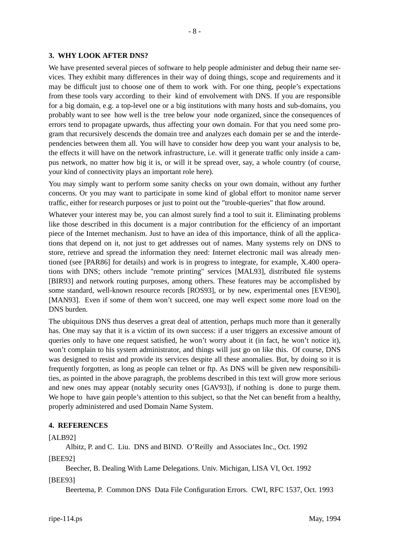## **3. WHY LOOK AFTER DNS?**

We have presented several pieces of software to help people administer and debug their name services. They exhibit many differences in their way of doing things, scope and requirements and it may be difficult just to choose one of them to work with. For one thing, people's expectations from these tools vary according to their kind of envolvement with DNS. If you are responsible for a big domain, e.g. a top-level one or a big institutions with many hosts and sub-domains, you probably want to see how well is the tree below your node organized, since the consequences of errors tend to propagate upwards, thus affecting your own domain. For that you need some program that recursively descends the domain tree and analyzes each domain per se and the interdependencies between them all. You will have to consider how deep you want your analysis to be, the effects it will have on the network infrastructure, i.e. will it generate traffic only inside a campus network, no matter how big it is, or will it be spread over, say, a whole country (of course, your kind of connectivity plays an important role here).

You may simply want to perform some sanity checks on your own domain, without any further concerns. Or you may want to participate in some kind of global effort to monitor name server traffic, either for research purposes or just to point out the "trouble-queries" that flow around.

Whatever your interest may be, you can almost surely find a tool to suit it. Eliminating problems like those described in this document is a major contribution for the efficiency of an important piece of the Internet mechanism. Just to have an idea of this importance, think of all the applications that depend on it, not just to get addresses out of names. Many systems rely on DNS to store, retrieve and spread the information they need: Internet electronic mail was already mentioned (see [PAR86] for details) and work is in progress to integrate, for example, X.400 operations with DNS; others include "remote printing" services [MAL93], distributed file systems [BIR93] and network routing purposes, among others. These features may be accomplished by some standard, well-known resource records [ROS93], or by new, experimental ones [EVE90], [MAN93]. Even if some of them won't succeed, one may well expect some more load on the DNS burden.

The ubiquitous DNS thus deserves a great deal of attention, perhaps much more than it generally has. One may say that it is a victim of its own success: if a user triggers an excessive amount of queries only to have one request satisfied, he won't worry about it (in fact, he won't notice it), won't complain to his system administrator, and things will just go on like this. Of course, DNS was designed to resist and provide its services despite all these anomalies. But, by doing so it is frequently forgotten, as long as people can telnet or ftp. As DNS will be given new responsibilities, as pointed in the above paragraph, the problems described in this text will grow more serious and new ones may appear (notably security ones [GAV93]), if nothing is done to purge them. We hope to have gain people's attention to this subject, so that the Net can benefit from a healthy, properly administered and used Domain Name System.

#### **4. REFERENCES**

#### [ALB92]

Albitz, P. and C. Liu. DNS and BIND. O'Reilly and Associates Inc., Oct. 1992

[BEE92]

Beecher, B. Dealing With Lame Delegations. Univ. Michigan, LISA VI, Oct. 1992

[BEE93]

Beertema, P. Common DNS Data File Configuration Errors. CWI, RFC 1537, Oct. 1993